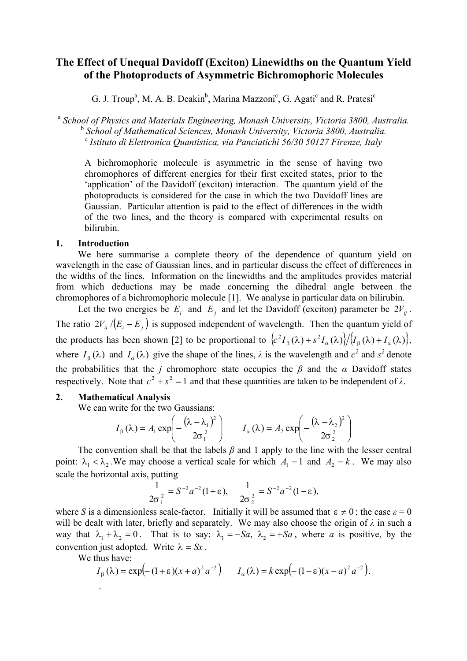# **The Effect of Unequal Davidoff (Exciton) Linewidths on the Quantum Yield of the Photoproducts of Asymmetric Bichromophoric Molecules**

G. J. Troup<sup>a</sup>, M. A. B. Deakin<sup>b</sup>, Marina Mazzoni<sup>c</sup>, G. Agati<sup>c</sup> and R. Pratesi<sup>c</sup>

<sup>a</sup> *School of Physics and Materials Engineering, Monash University, Victoria 3800, Australia.*  <sup>b</sup> *School of Mathematical Sciences, Monash University, Victoria 3800, Australia.* <sup>c</sup> *Istituto di Elettronica Quantistica, via Panciatichi 56/30 50127 Firenze, Italy* 

A bichromophoric molecule is asymmetric in the sense of having two chromophores of different energies for their first excited states, prior to the 'application' of the Davidoff (exciton) interaction. The quantum yield of the photoproducts is considered for the case in which the two Davidoff lines are Gaussian. Particular attention is paid to the effect of differences in the width of the two lines, and the theory is compared with experimental results on bilirubin.

#### **1. Introduction**

We here summarise a complete theory of the dependence of quantum yield on wavelength in the case of Gaussian lines, and in particular discuss the effect of differences in the widths of the lines. Information on the linewidths and the amplitudes provides material from which deductions may be made concerning the dihedral angle between the chromophores of a bichromophoric molecule [1]. We analyse in particular data on bilirubin.

Let the two energies be  $E_i$  and  $E_j$  and let the Davidoff (exciton) parameter be  $2V_{ij}$ . The ratio  $2V_{ij}/(E_i - E_j)$  is supposed independent of wavelength. Then the quantum yield of the products has been shown [2] to be proportional to  $\langle c^2 I_\beta(\lambda) + s^2 I_\alpha(\lambda) \rangle / \langle I_\beta(\lambda) + I_\alpha(\lambda) \rangle$ , where  $I_{\beta}(\lambda)$  and  $I_{\alpha}(\lambda)$  give the shape of the lines,  $\lambda$  is the wavelength and  $c^2$  and  $s^2$  denote the probabilities that the *j* chromophore state occupies the  $\beta$  and the  $\alpha$  Davidoff states respectively. Note that  $c^2 + s^2 = 1$  and that these quantities are taken to be independent of  $\lambda$ .

## **2. Mathematical Analysis**

We can write for the two Gaussians:

$$
I_{\beta}(\lambda) = A_1 \exp\left(-\frac{(\lambda - \lambda_1)^2}{2\sigma_1^2}\right) \qquad I_{\alpha}(\lambda) = A_2 \exp\left(-\frac{(\lambda - \lambda_2)^2}{2\sigma_2^2}\right)
$$

The convention shall be that the labels  $\beta$  and 1 apply to the line with the lesser central point:  $\lambda_1 < \lambda_2$ . We may choose a vertical scale for which  $A_1 = 1$  and  $A_2 = k$ . We may also scale the horizontal axis, putting

$$
\frac{1}{2\sigma_1^2} = S^{-2}a^{-2}(1+\epsilon), \quad \frac{1}{2\sigma_2^2} = S^{-2}a^{-2}(1-\epsilon),
$$

where *S* is a dimensionless scale-factor. Initially it will be assumed that  $\epsilon \neq 0$ ; the case  $\epsilon = 0$ will be dealt with later, briefly and separately. We may also choose the origin of *λ* in such a way that  $\lambda_1 + \lambda_2 = 0$ . That is to say:  $\lambda_1 = -Sa$ ,  $\lambda_2 = +Sa$ , where *a* is positive, by the convention just adopted. Write  $\lambda = Sx$ .

We thus have:

$$
I_{\beta}(\lambda) = \exp\left(-(1+\epsilon)(x+a)^2 a^{-2}\right) \qquad I_{\alpha}(\lambda) = k \exp\left(-(1-\epsilon)(x-a)^2 a^{-2}\right).
$$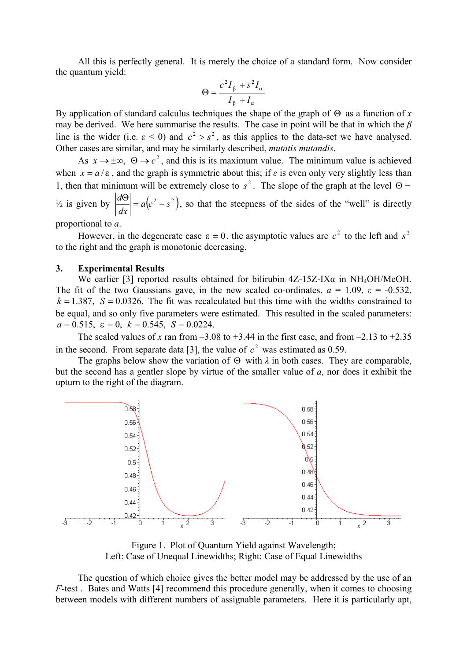All this is perfectly general. It is merely the choice of a standard form. Now consider the quantum yield:

$$
\Theta = \frac{c^2 I_{\beta} + s^2 I_{\alpha}}{I_{\beta} + I_{\alpha}}
$$

By application of standard calculus techniques the shape of the graph of  $\Theta$  as a function of *x* may be derived. We here summarise the results. The case in point will be that in which the *β* line is the wider (i.e.  $\epsilon < 0$ ) and  $c^2 > s^2$ , as this applies to the data-set we have analysed. Other cases are similar, and may be similarly described, *mutatis mutandis*.

As  $x \to \pm \infty$ ,  $\Theta \to c^2$ , and this is its maximum value. The minimum value is achieved when  $x = a/\varepsilon$ , and the graph is symmetric about this; if  $\varepsilon$  is even only very slightly less than 1, then that minimum will be extremely close to  $s^2$ . The slope of the graph at the level  $\Theta =$  $\frac{d^2u}{dx^2} = a(c^2)$ *dx*  $\frac{d\Theta}{dt} = a(c^2 - s^2)$ , so that the steepness of the sides of the "well" is directly

proportional to *a*.

However, in the degenerate case  $\varepsilon = 0$ , the asymptotic values are  $c^2$  to the left and  $s^2$ to the right and the graph is monotonic decreasing.

#### **3. Experimental Results**

We earlier [3] reported results obtained for bilirubin  $4Z-15Z-IX\alpha$  in NH<sub>4</sub>OH/MeOH. The fit of the two Gaussians gave, in the new scaled co-ordinates,  $a = 1.09$ ,  $\varepsilon = -0.532$ ,  $k = 1.387$ ,  $S = 0.0326$ . The fit was recalculated but this time with the widths constrained to be equal, and so only five parameters were estimated. This resulted in the scaled parameters:  $a = 0.515$ ,  $\varepsilon = 0$ ,  $k = 0.545$ ,  $S = 0.0224$ .

The scaled values of *x* ran from  $-3.08$  to  $+3.44$  in the first case, and from  $-2.13$  to  $+2.35$ in the second. From separate data [3], the value of  $c^2$  was estimated as 0.59.

The graphs below show the variation of  $\Theta$  with  $\lambda$  in both cases. They are comparable, but the second has a gentler slope by virtue of the smaller value of *a*, nor does it exhibit the upturn to the right of the diagram.



Figure 1. Plot of Quantum Yield against Wavelength; Left: Case of Unequal Linewidths; Right: Case of Equal Linewidths

The question of which choice gives the better model may be addressed by the use of an *F*-test . Bates and Watts [4] recommend this procedure generally, when it comes to choosing between models with different numbers of assignable parameters. Here it is particularly apt,